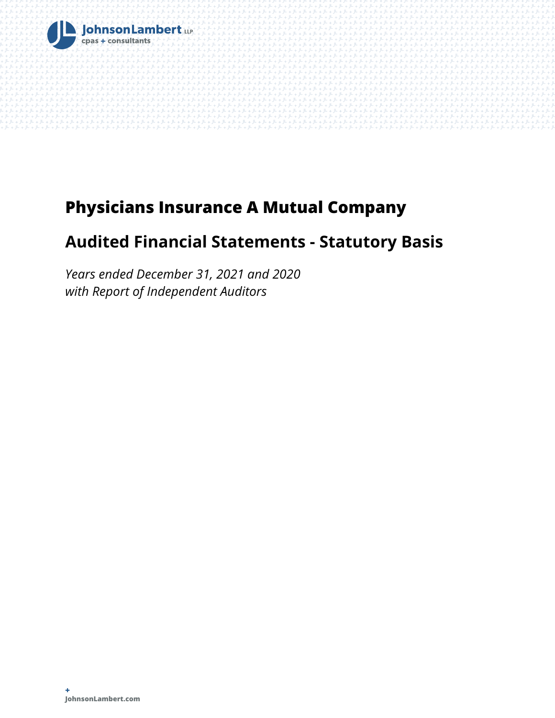

# **Audited Financial Statements - Statutory Basis**

*Years ended December 31, 2021 and 2020 with Report of Independent Auditors*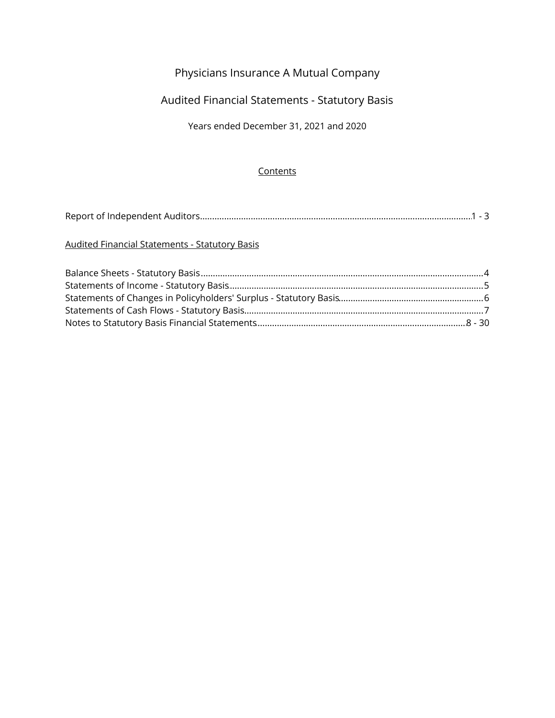## Audited Financial Statements - Statutory Basis

Years ended December 31, 2021 and 2020

#### **Contents**

|--|--|--|--|

### Audited Financial Statements - Statutory Basis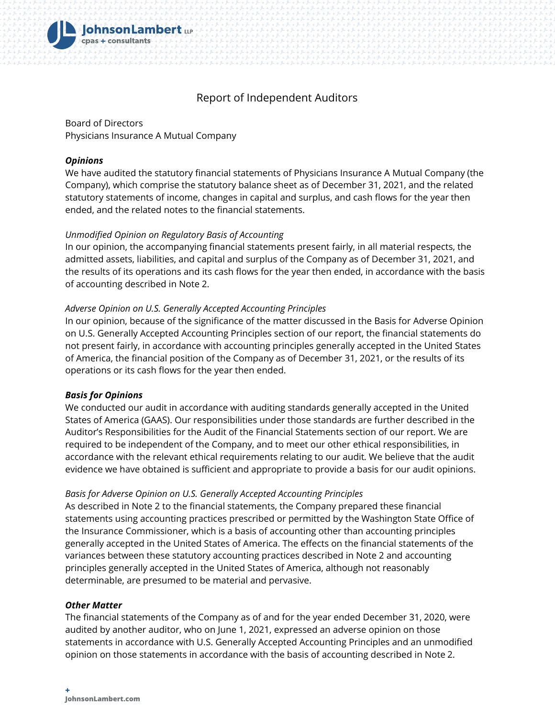

## Report of Independent Auditors

Board of Directors Physicians Insurance A Mutual Company

#### *Opinions*

We have audited the statutory financial statements of Physicians Insurance A Mutual Company (the Company), which comprise the statutory balance sheet as of December 31, 2021, and the related statutory statements of income, changes in capital and surplus, and cash flows for the year then ended, and the related notes to the financial statements.

#### *Unmodified Opinion on Regulatory Basis of Accounting*

In our opinion, the accompanying financial statements present fairly, in all material respects, the admitted assets, liabilities, and capital and surplus of the Company as of December 31, 2021, and the results of its operations and its cash flows for the year then ended, in accordance with the basis of accounting described in Note 2.

#### *Adverse Opinion on U.S. Generally Accepted Accounting Principles*

In our opinion, because of the significance of the matter discussed in the Basis for Adverse Opinion on U.S. Generally Accepted Accounting Principles section of our report, the financial statements do not present fairly, in accordance with accounting principles generally accepted in the United States of America, the financial position of the Company as of December 31, 2021, or the results of its operations or its cash flows for the year then ended.

#### *Basis for Opinions*

We conducted our audit in accordance with auditing standards generally accepted in the United States of America (GAAS). Our responsibilities under those standards are further described in the Auditor's Responsibilities for the Audit of the Financial Statements section of our report. We are required to be independent of the Company, and to meet our other ethical responsibilities, in accordance with the relevant ethical requirements relating to our audit. We believe that the audit evidence we have obtained is sufficient and appropriate to provide a basis for our audit opinions.

#### *Basis for Adverse Opinion on U.S. Generally Accepted Accounting Principles*

As described in Note 2 to the financial statements, the Company prepared these financial statements using accounting practices prescribed or permitted by the Washington State Office of the Insurance Commissioner, which is a basis of accounting other than accounting principles generally accepted in the United States of America. The effects on the financial statements of the variances between these statutory accounting practices described in Note 2 and accounting principles generally accepted in the United States of America, although not reasonably determinable, are presumed to be material and pervasive.

#### *Other Matter*

The financial statements of the Company as of and for the year ended December 31, 2020, were audited by another auditor, who on June 1, 2021, expressed an adverse opinion on those statements in accordance with U.S. Generally Accepted Accounting Principles and an unmodified opinion on those statements in accordance with the basis of accounting described in Note 2.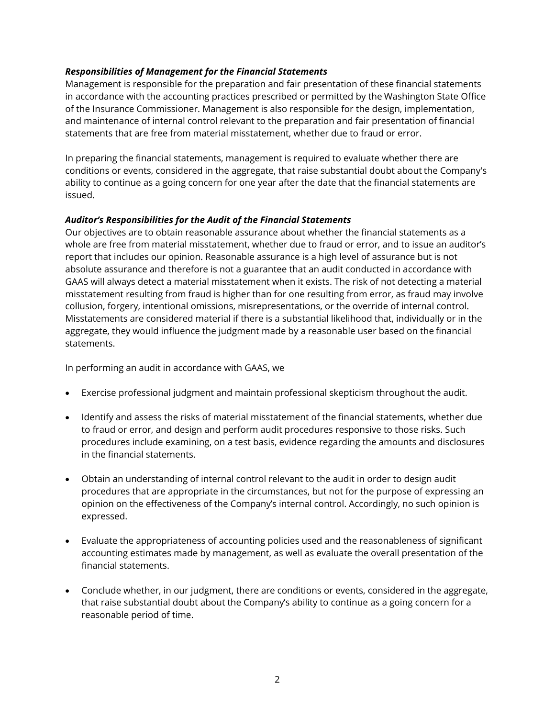#### *Responsibilities of Management for the Financial Statements*

Management is responsible for the preparation and fair presentation of these financial statements in accordance with the accounting practices prescribed or permitted by the Washington State Office of the Insurance Commissioner. Management is also responsible for the design, implementation, and maintenance of internal control relevant to the preparation and fair presentation of financial statements that are free from material misstatement, whether due to fraud or error.

In preparing the financial statements, management is required to evaluate whether there are conditions or events, considered in the aggregate, that raise substantial doubt about the Company's ability to continue as a going concern for one year after the date that the financial statements are issued.

#### *Auditor's Responsibilities for the Audit of the Financial Statements*

Our objectives are to obtain reasonable assurance about whether the financial statements as a whole are free from material misstatement, whether due to fraud or error, and to issue an auditor's report that includes our opinion. Reasonable assurance is a high level of assurance but is not absolute assurance and therefore is not a guarantee that an audit conducted in accordance with GAAS will always detect a material misstatement when it exists. The risk of not detecting a material misstatement resulting from fraud is higher than for one resulting from error, as fraud may involve collusion, forgery, intentional omissions, misrepresentations, or the override of internal control. Misstatements are considered material if there is a substantial likelihood that, individually or in the aggregate, they would influence the judgment made by a reasonable user based on the financial statements.

In performing an audit in accordance with GAAS, we

- Exercise professional judgment and maintain professional skepticism throughout the audit.
- Identify and assess the risks of material misstatement of the financial statements, whether due to fraud or error, and design and perform audit procedures responsive to those risks. Such procedures include examining, on a test basis, evidence regarding the amounts and disclosures in the financial statements.
- Obtain an understanding of internal control relevant to the audit in order to design audit procedures that are appropriate in the circumstances, but not for the purpose of expressing an opinion on the effectiveness of the Company's internal control. Accordingly, no such opinion is expressed.
- Evaluate the appropriateness of accounting policies used and the reasonableness of significant accounting estimates made by management, as well as evaluate the overall presentation of the financial statements.
- Conclude whether, in our judgment, there are conditions or events, considered in the aggregate, that raise substantial doubt about the Company's ability to continue as a going concern for a reasonable period of time.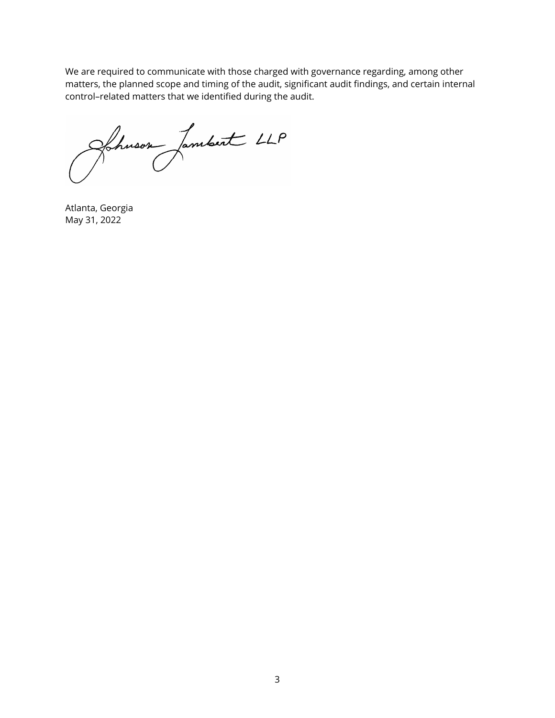We are required to communicate with those charged with governance regarding, among other matters, the planned scope and timing of the audit, significant audit findings, and certain internal control–related matters that we identified during the audit.

Johnson Jambert LLP

Atlanta, Georgia May 31, 2022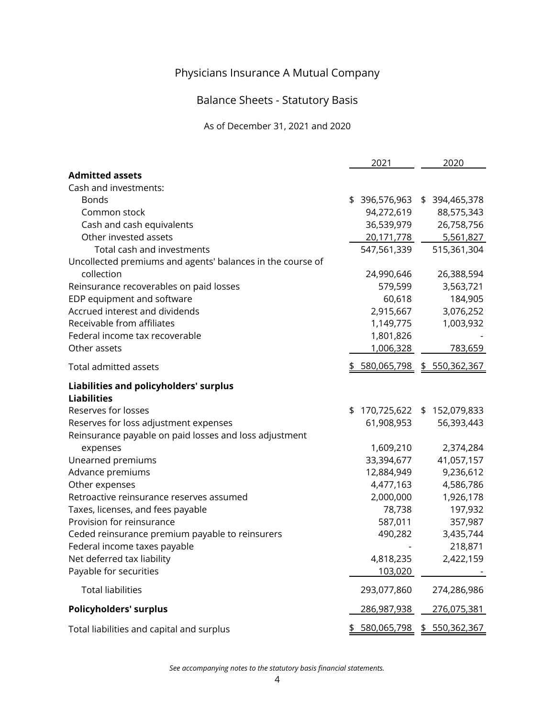## Balance Sheets - Statutory Basis

#### As of December 31, 2021 and 2020

|                                                            | 2021          | 2020                        |
|------------------------------------------------------------|---------------|-----------------------------|
| <b>Admitted assets</b>                                     |               |                             |
| Cash and investments:                                      |               |                             |
| <b>Bonds</b>                                               | \$396,576,963 | \$394,465,378               |
| Common stock                                               | 94,272,619    | 88,575,343                  |
| Cash and cash equivalents                                  | 36,539,979    | 26,758,756                  |
| Other invested assets                                      | 20,171,778    | 5,561,827                   |
| Total cash and investments                                 | 547,561,339   | 515,361,304                 |
| Uncollected premiums and agents' balances in the course of |               |                             |
| collection                                                 | 24,990,646    | 26,388,594                  |
| Reinsurance recoverables on paid losses                    | 579,599       | 3,563,721                   |
| EDP equipment and software                                 | 60,618        | 184,905                     |
| Accrued interest and dividends                             | 2,915,667     | 3,076,252                   |
| Receivable from affiliates                                 | 1,149,775     | 1,003,932                   |
| Federal income tax recoverable                             | 1,801,826     |                             |
| Other assets                                               | 1,006,328     | 783,659                     |
| <b>Total admitted assets</b>                               |               | \$580,065,798 \$550,362,367 |
| Liabilities and policyholders' surplus                     |               |                             |
| <b>Liabilities</b>                                         |               |                             |
| Reserves for losses                                        | \$            | 170,725,622 \$ 152,079,833  |
| Reserves for loss adjustment expenses                      | 61,908,953    | 56,393,443                  |
| Reinsurance payable on paid losses and loss adjustment     |               |                             |
| expenses                                                   | 1,609,210     | 2,374,284                   |
| Unearned premiums                                          | 33,394,677    | 41,057,157                  |
| Advance premiums                                           | 12,884,949    | 9,236,612                   |
| Other expenses                                             | 4,477,163     | 4,586,786                   |
| Retroactive reinsurance reserves assumed                   | 2,000,000     | 1,926,178                   |
| Taxes, licenses, and fees payable                          | 78,738        | 197,932                     |
| Provision for reinsurance                                  | 587,011       | 357,987                     |
| Ceded reinsurance premium payable to reinsurers            | 490,282       | 3,435,744                   |
| Federal income taxes payable                               |               | 218,871                     |
| Net deferred tax liability                                 | 4,818,235     | 2,422,159                   |
| Payable for securities                                     | 103,020       |                             |
| <b>Total liabilities</b>                                   | 293,077,860   | 274,286,986                 |
| <b>Policyholders' surplus</b>                              | 286,987,938   | 276,075,381                 |
| Total liabilities and capital and surplus                  | 580,065,798   | \$550,362,367               |

*See accompanying notes to the statutory basis financial statements.*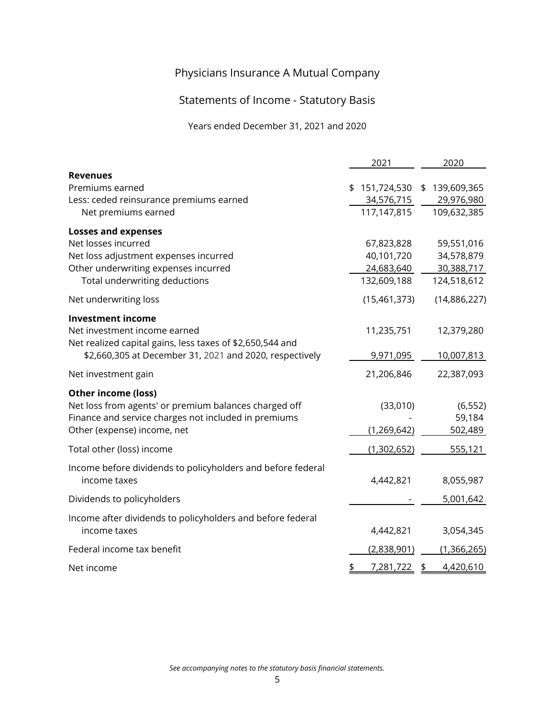## Statements of Income - Statutory Basis

#### Years ended December 31, 2021 and 2020

|                                                             | 2021              | 2020          |
|-------------------------------------------------------------|-------------------|---------------|
| Revenues                                                    |                   |               |
| Premiums earned                                             | 151,724,530<br>\$ | \$139,609,365 |
| Less: ceded reinsurance premiums earned                     | 34,576,715        | 29,976,980    |
| Net premiums earned                                         | 117,147,815       | 109,632,385   |
| <b>Losses and expenses</b>                                  |                   |               |
| Net losses incurred                                         | 67,823,828        | 59,551,016    |
| Net loss adjustment expenses incurred                       | 40,101,720        | 34,578,879    |
| Other underwriting expenses incurred                        | 24,683,640        | 30, 388, 717  |
| Total underwriting deductions                               | 132,609,188       | 124,518,612   |
| Net underwriting loss                                       | (15,461,373)      | (14,886,227)  |
| <b>Investment income</b>                                    |                   |               |
| Net investment income earned                                | 11,235,751        | 12,379,280    |
| Net realized capital gains, less taxes of \$2,650,544 and   |                   |               |
| \$2,660,305 at December 31, 2021 and 2020, respectively     | 9,971,095         | 10,007,813    |
| Net investment gain                                         | 21,206,846        | 22,387,093    |
| <b>Other income (loss)</b>                                  |                   |               |
| Net loss from agents' or premium balances charged off       | (33,010)          | (6, 552)      |
| Finance and service charges not included in premiums        |                   | 59,184        |
| Other (expense) income, net                                 | (1, 269, 642)     | 502,489       |
| Total other (loss) income                                   | (1, 302, 652)     | 555,121       |
| Income before dividends to policyholders and before federal |                   |               |
| income taxes                                                | 4,442,821         | 8,055,987     |
| Dividends to policyholders                                  |                   | 5,001,642     |
| Income after dividends to policyholders and before federal  |                   |               |
| income taxes                                                | 4,442,821         | 3,054,345     |
| Federal income tax benefit                                  | (2,838,901)       | (1,366,265)   |
| Net income                                                  | 7,281,722         | 4,420,610     |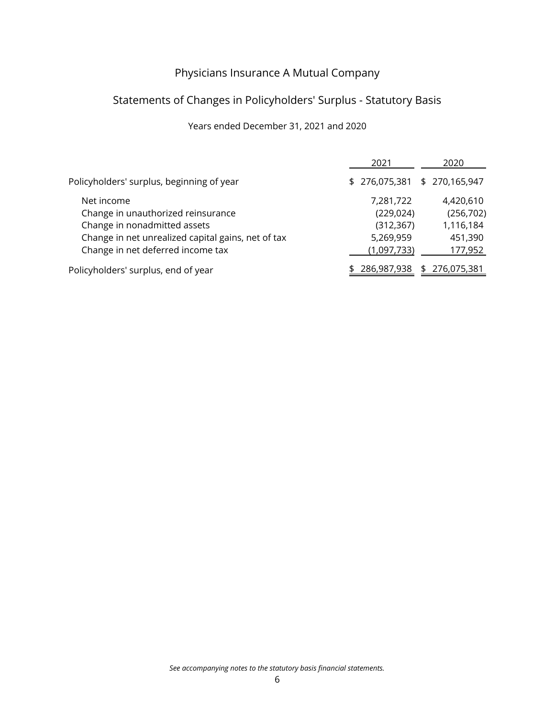## Statements of Changes in Policyholders' Surplus - Statutory Basis

#### Years ended December 31, 2021 and 2020

|                                                    | 2021          | 2020              |
|----------------------------------------------------|---------------|-------------------|
| Policyholders' surplus, beginning of year          | \$276,075,381 | \$270,165,947     |
| Net income                                         | 7,281,722     | 4,420,610         |
| Change in unauthorized reinsurance                 | (229, 024)    | (256, 702)        |
| Change in nonadmitted assets                       | (312, 367)    | 1,116,184         |
| Change in net unrealized capital gains, net of tax | 5,269,959     | 451,390           |
| Change in net deferred income tax                  | (1,097,733)   | 177,952           |
| Policyholders' surplus, end of year                | 286,987,938   | 276,075,381<br>\$ |

*See accompanying notes to the statutory basis financial statements.*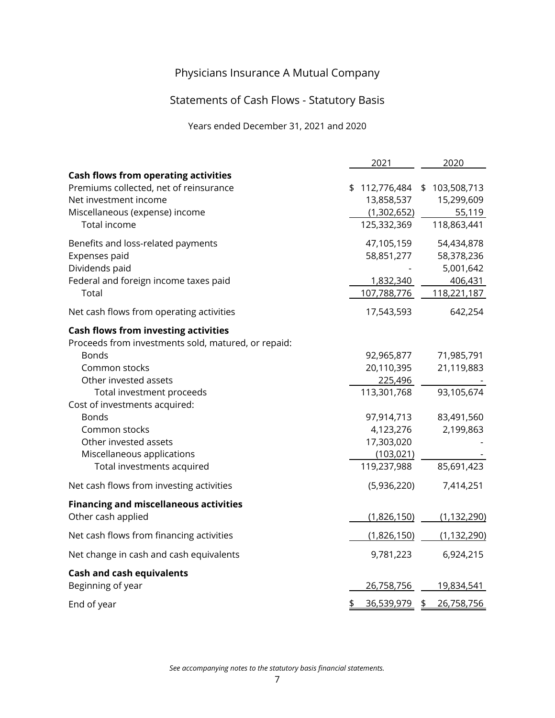## Statements of Cash Flows - Statutory Basis

Years ended December 31, 2021 and 2020

|                                                     | 2021                    | 2020                    |
|-----------------------------------------------------|-------------------------|-------------------------|
| <b>Cash flows from operating activities</b>         |                         |                         |
| Premiums collected, net of reinsurance              | 112,776,484<br>\$       | 103,508,713<br>\$       |
| Net investment income                               | 13,858,537              | 15,299,609              |
| Miscellaneous (expense) income                      | (1,302,652)             | 55,119                  |
| Total income                                        | 125,332,369             | 118,863,441             |
| Benefits and loss-related payments                  | 47,105,159              | 54,434,878              |
| Expenses paid                                       | 58,851,277              | 58,378,236              |
| Dividends paid                                      |                         | 5,001,642               |
| Federal and foreign income taxes paid               | 1,832,340               | 406,431                 |
| Total                                               | 107,788,776             | 118,221,187             |
| Net cash flows from operating activities            | 17,543,593              | 642,254                 |
| <b>Cash flows from investing activities</b>         |                         |                         |
| Proceeds from investments sold, matured, or repaid: |                         |                         |
| <b>Bonds</b>                                        | 92,965,877              | 71,985,791              |
| Common stocks                                       | 20,110,395              | 21,119,883              |
| Other invested assets                               | 225,496                 |                         |
| Total investment proceeds                           | 113,301,768             | 93,105,674              |
| Cost of investments acquired:<br><b>Bonds</b>       |                         |                         |
| Common stocks                                       | 97,914,713<br>4,123,276 | 83,491,560<br>2,199,863 |
| Other invested assets                               | 17,303,020              |                         |
| Miscellaneous applications                          | (103, 021)              |                         |
| Total investments acquired                          | 119,237,988             | 85,691,423              |
| Net cash flows from investing activities            | (5,936,220)             | 7,414,251               |
| <b>Financing and miscellaneous activities</b>       |                         |                         |
| Other cash applied                                  | (1,826,150)             | (1, 132, 290)           |
| Net cash flows from financing activities            | (1,826,150)             | (1, 132, 290)           |
| Net change in cash and cash equivalents             | 9,781,223               | 6,924,215               |
| <b>Cash and cash equivalents</b>                    |                         |                         |
| Beginning of year                                   | 26,758,756              | 19,834,541              |
| End of year                                         | 36,539,979<br>\$        | 26,758,756<br>\$        |

*See accompanying notes to the statutory basis financial statements.*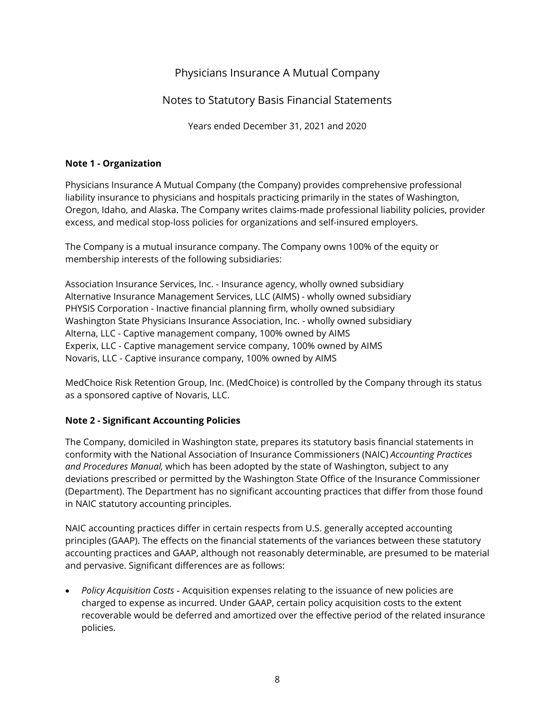## Notes to Statutory Basis Financial Statements

Years ended December 31, 2021 and 2020

#### **Note 1 - Organization**

Physicians Insurance A Mutual Company (the Company) provides comprehensive professional liability insurance to physicians and hospitals practicing primarily in the states of Washington, Oregon, Idaho, and Alaska. The Company writes claims-made professional liability policies, provider excess, and medical stop-loss policies for organizations and self-insured employers.

The Company is a mutual insurance company. The Company owns 100% of the equity or membership interests of the following subsidiaries:

Association Insurance Services, Inc. - Insurance agency, wholly owned subsidiary Alternative Insurance Management Services, LLC (AIMS) - wholly owned subsidiary PHYSIS Corporation - Inactive financial planning firm, wholly owned subsidiary Washington State Physicians Insurance Association, Inc. - wholly owned subsidiary Alterna, LLC - Captive management company, 100% owned by AIMS Experix, LLC - Captive management service company, 100% owned by AIMS Novaris, LLC - Captive insurance company, 100% owned by AIMS

MedChoice Risk Retention Group, Inc. (MedChoice) is controlled by the Company through its status as a sponsored captive of Novaris, LLC.

#### **Note 2 - Significant Accounting Policies**

The Company, domiciled in Washington state, prepares its statutory basis financial statements in conformity with the National Association of Insurance Commissioners (NAIC) *Accounting Practices and Procedures Manual,* which has been adopted by the state of Washington, subject to any deviations prescribed or permitted by the Washington State Office of the Insurance Commissioner (Department). The Department has no significant accounting practices that differ from those found in NAIC statutory accounting principles.

NAIC accounting practices differ in certain respects from U.S. generally accepted accounting principles (GAAP). The effects on the financial statements of the variances between these statutory accounting practices and GAAP, although not reasonably determinable, are presumed to be material and pervasive. Significant differences are as follows:

 *Policy Acquisition Costs* - Acquisition expenses relating to the issuance of new policies are charged to expense as incurred. Under GAAP, certain policy acquisition costs to the extent recoverable would be deferred and amortized over the effective period of the related insurance policies.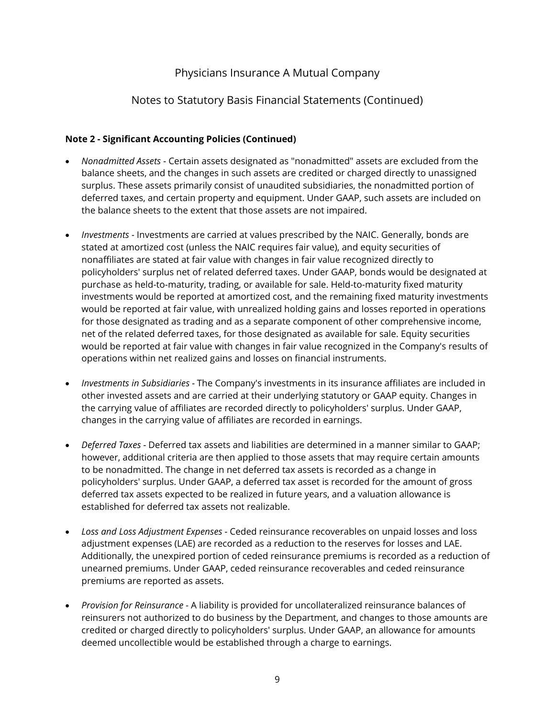## Notes to Statutory Basis Financial Statements (Continued)

#### **Note 2 - Significant Accounting Policies (Continued)**

- *Nonadmitted Assets -* Certain assets designated as "nonadmitted" assets are excluded from the balance sheets, and the changes in such assets are credited or charged directly to unassigned surplus. These assets primarily consist of unaudited subsidiaries, the nonadmitted portion of deferred taxes, and certain property and equipment. Under GAAP, such assets are included on the balance sheets to the extent that those assets are not impaired.
- *Investments -* Investments are carried at values prescribed by the NAIC. Generally, bonds are stated at amortized cost (unless the NAIC requires fair value), and equity securities of nonaffiliates are stated at fair value with changes in fair value recognized directly to policyholders' surplus net of related deferred taxes. Under GAAP, bonds would be designated at purchase as held-to-maturity, trading, or available for sale. Held-to-maturity fixed maturity investments would be reported at amortized cost, and the remaining fixed maturity investments would be reported at fair value, with unrealized holding gains and losses reported in operations for those designated as trading and as a separate component of other comprehensive income, net of the related deferred taxes, for those designated as available for sale. Equity securities would be reported at fair value with changes in fair value recognized in the Company's results of operations within net realized gains and losses on financial instruments.
- *Investments in Subsidiaries* The Company's investments in its insurance affiliates are included in other invested assets and are carried at their underlying statutory or GAAP equity. Changes in the carrying value of affiliates are recorded directly to policyholders' surplus. Under GAAP, changes in the carrying value of affiliates are recorded in earnings.
- *Deferred Taxes -* Deferred tax assets and liabilities are determined in a manner similar to GAAP; however, additional criteria are then applied to those assets that may require certain amounts to be nonadmitted. The change in net deferred tax assets is recorded as a change in policyholders' surplus. Under GAAP, a deferred tax asset is recorded for the amount of gross deferred tax assets expected to be realized in future years, and a valuation allowance is established for deferred tax assets not realizable.
- *Loss and Loss Adjustment Expenses -* Ceded reinsurance recoverables on unpaid losses and loss adjustment expenses (LAE) are recorded as a reduction to the reserves for losses and LAE. Additionally, the unexpired portion of ceded reinsurance premiums is recorded as a reduction of unearned premiums. Under GAAP, ceded reinsurance recoverables and ceded reinsurance premiums are reported as assets.
- *Provision for Reinsurance* A liability is provided for uncollateralized reinsurance balances of reinsurers not authorized to do business by the Department, and changes to those amounts are credited or charged directly to policyholders' surplus. Under GAAP, an allowance for amounts deemed uncollectible would be established through a charge to earnings.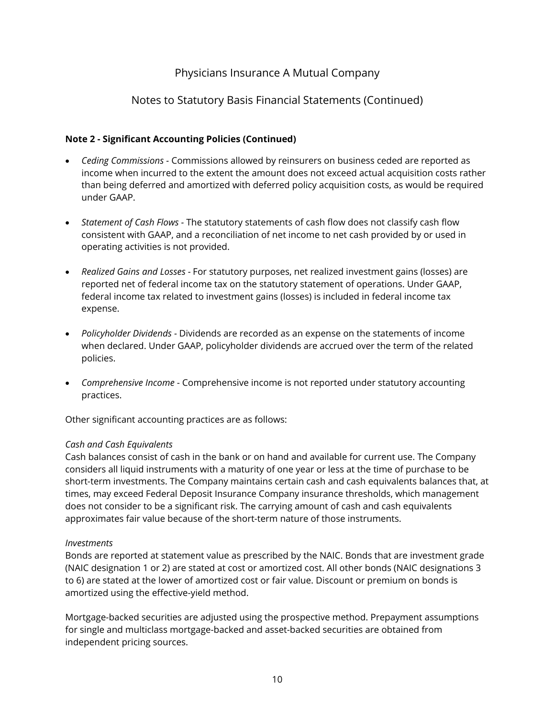## Notes to Statutory Basis Financial Statements (Continued)

#### **Note 2 - Significant Accounting Policies (Continued)**

- *Ceding Commissions* Commissions allowed by reinsurers on business ceded are reported as income when incurred to the extent the amount does not exceed actual acquisition costs rather than being deferred and amortized with deferred policy acquisition costs, as would be required under GAAP.
- *Statement of Cash Flows -* The statutory statements of cash flow does not classify cash flow consistent with GAAP, and a reconciliation of net income to net cash provided by or used in operating activities is not provided.
- *Realized Gains and Losses -* For statutory purposes, net realized investment gains (losses) are reported net of federal income tax on the statutory statement of operations. Under GAAP, federal income tax related to investment gains (losses) is included in federal income tax expense.
- *Policyholder Dividends -* Dividends are recorded as an expense on the statements of income when declared. Under GAAP, policyholder dividends are accrued over the term of the related policies.
- *Comprehensive Income* Comprehensive income is not reported under statutory accounting practices.

Other significant accounting practices are as follows:

#### *Cash and Cash Equivalents*

Cash balances consist of cash in the bank or on hand and available for current use. The Company considers all liquid instruments with a maturity of one year or less at the time of purchase to be short-term investments. The Company maintains certain cash and cash equivalents balances that, at times, may exceed Federal Deposit Insurance Company insurance thresholds, which management does not consider to be a significant risk. The carrying amount of cash and cash equivalents approximates fair value because of the short-term nature of those instruments.

#### *Investments*

Bonds are reported at statement value as prescribed by the NAIC. Bonds that are investment grade (NAIC designation 1 or 2) are stated at cost or amortized cost. All other bonds (NAIC designations 3 to 6) are stated at the lower of amortized cost or fair value. Discount or premium on bonds is amortized using the effective-yield method.

Mortgage-backed securities are adjusted using the prospective method. Prepayment assumptions for single and multiclass mortgage-backed and asset-backed securities are obtained from independent pricing sources.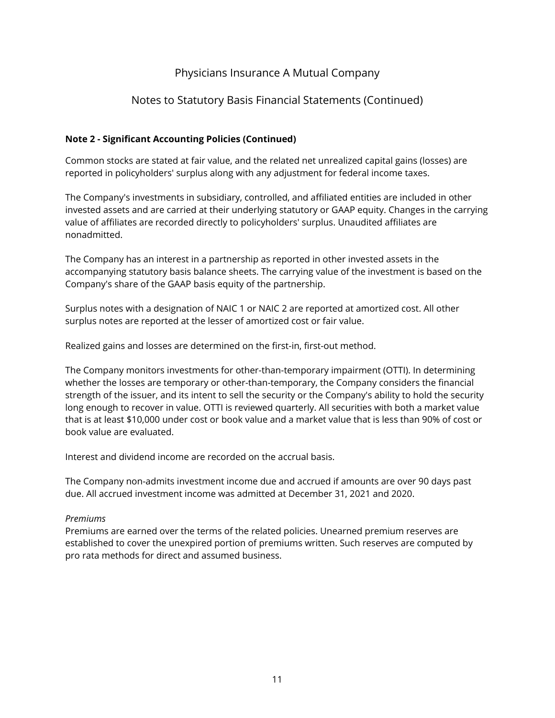## Notes to Statutory Basis Financial Statements (Continued)

#### **Note 2 - Significant Accounting Policies (Continued)**

Common stocks are stated at fair value, and the related net unrealized capital gains (losses) are reported in policyholders' surplus along with any adjustment for federal income taxes.

The Company's investments in subsidiary, controlled, and affiliated entities are included in other invested assets and are carried at their underlying statutory or GAAP equity. Changes in the carrying value of affiliates are recorded directly to policyholders' surplus. Unaudited affiliates are nonadmitted.

The Company has an interest in a partnership as reported in other invested assets in the accompanying statutory basis balance sheets. The carrying value of the investment is based on the Company's share of the GAAP basis equity of the partnership.

Surplus notes with a designation of NAIC 1 or NAIC 2 are reported at amortized cost. All other surplus notes are reported at the lesser of amortized cost or fair value.

Realized gains and losses are determined on the first-in, first-out method.

The Company monitors investments for other-than-temporary impairment (OTTI). In determining whether the losses are temporary or other-than-temporary, the Company considers the financial strength of the issuer, and its intent to sell the security or the Company's ability to hold the security long enough to recover in value. OTTI is reviewed quarterly. All securities with both a market value that is at least \$10,000 under cost or book value and a market value that is less than 90% of cost or book value are evaluated.

Interest and dividend income are recorded on the accrual basis.

The Company non-admits investment income due and accrued if amounts are over 90 days past due. All accrued investment income was admitted at December 31, 2021 and 2020.

#### *Premiums*

Premiums are earned over the terms of the related policies. Unearned premium reserves are established to cover the unexpired portion of premiums written. Such reserves are computed by pro rata methods for direct and assumed business.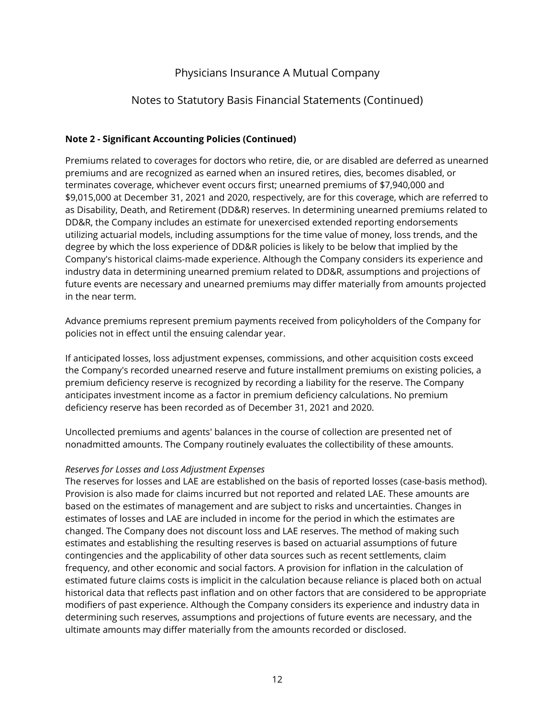## Notes to Statutory Basis Financial Statements (Continued)

#### **Note 2 - Significant Accounting Policies (Continued)**

Premiums related to coverages for doctors who retire, die, or are disabled are deferred as unearned premiums and are recognized as earned when an insured retires, dies, becomes disabled, or terminates coverage, whichever event occurs first; unearned premiums of \$7,940,000 and \$9,015,000 at December 31, 2021 and 2020, respectively, are for this coverage, which are referred to as Disability, Death, and Retirement (DD&R) reserves. In determining unearned premiums related to DD&R, the Company includes an estimate for unexercised extended reporting endorsements utilizing actuarial models, including assumptions for the time value of money, loss trends, and the degree by which the loss experience of DD&R policies is likely to be below that implied by the Company's historical claims-made experience. Although the Company considers its experience and industry data in determining unearned premium related to DD&R, assumptions and projections of future events are necessary and unearned premiums may differ materially from amounts projected in the near term.

Advance premiums represent premium payments received from policyholders of the Company for policies not in effect until the ensuing calendar year.

If anticipated losses, loss adjustment expenses, commissions, and other acquisition costs exceed the Company's recorded unearned reserve and future installment premiums on existing policies, a premium deficiency reserve is recognized by recording a liability for the reserve. The Company anticipates investment income as a factor in premium deficiency calculations. No premium deficiency reserve has been recorded as of December 31, 2021 and 2020.

Uncollected premiums and agents' balances in the course of collection are presented net of nonadmitted amounts. The Company routinely evaluates the collectibility of these amounts.

#### *Reserves for Losses and Loss Adjustment Expenses*

The reserves for losses and LAE are established on the basis of reported losses (case-basis method). Provision is also made for claims incurred but not reported and related LAE. These amounts are based on the estimates of management and are subject to risks and uncertainties. Changes in estimates of losses and LAE are included in income for the period in which the estimates are changed. The Company does not discount loss and LAE reserves. The method of making such estimates and establishing the resulting reserves is based on actuarial assumptions of future contingencies and the applicability of other data sources such as recent settlements, claim frequency, and other economic and social factors. A provision for inflation in the calculation of estimated future claims costs is implicit in the calculation because reliance is placed both on actual historical data that reflects past inflation and on other factors that are considered to be appropriate modifiers of past experience. Although the Company considers its experience and industry data in determining such reserves, assumptions and projections of future events are necessary, and the ultimate amounts may differ materially from the amounts recorded or disclosed.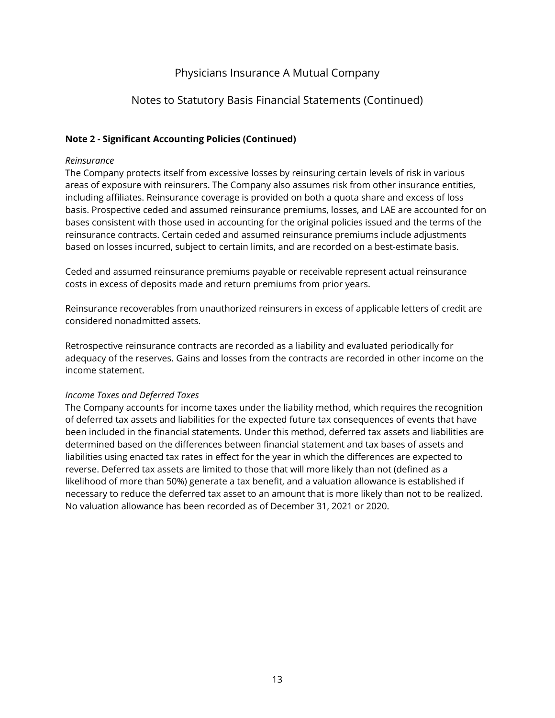## Notes to Statutory Basis Financial Statements (Continued)

#### **Note 2 - Significant Accounting Policies (Continued)**

#### *Reinsurance*

The Company protects itself from excessive losses by reinsuring certain levels of risk in various areas of exposure with reinsurers. The Company also assumes risk from other insurance entities, including affiliates. Reinsurance coverage is provided on both a quota share and excess of loss basis. Prospective ceded and assumed reinsurance premiums, losses, and LAE are accounted for on bases consistent with those used in accounting for the original policies issued and the terms of the reinsurance contracts. Certain ceded and assumed reinsurance premiums include adjustments based on losses incurred, subject to certain limits, and are recorded on a best-estimate basis.

Ceded and assumed reinsurance premiums payable or receivable represent actual reinsurance costs in excess of deposits made and return premiums from prior years.

Reinsurance recoverables from unauthorized reinsurers in excess of applicable letters of credit are considered nonadmitted assets.

Retrospective reinsurance contracts are recorded as a liability and evaluated periodically for adequacy of the reserves. Gains and losses from the contracts are recorded in other income on the income statement.

#### *Income Taxes and Deferred Taxes*

The Company accounts for income taxes under the liability method, which requires the recognition of deferred tax assets and liabilities for the expected future tax consequences of events that have been included in the financial statements. Under this method, deferred tax assets and liabilities are determined based on the differences between financial statement and tax bases of assets and liabilities using enacted tax rates in effect for the year in which the differences are expected to reverse. Deferred tax assets are limited to those that will more likely than not (defined as a likelihood of more than 50%) generate a tax benefit, and a valuation allowance is established if necessary to reduce the deferred tax asset to an amount that is more likely than not to be realized. No valuation allowance has been recorded as of December 31, 2021 or 2020.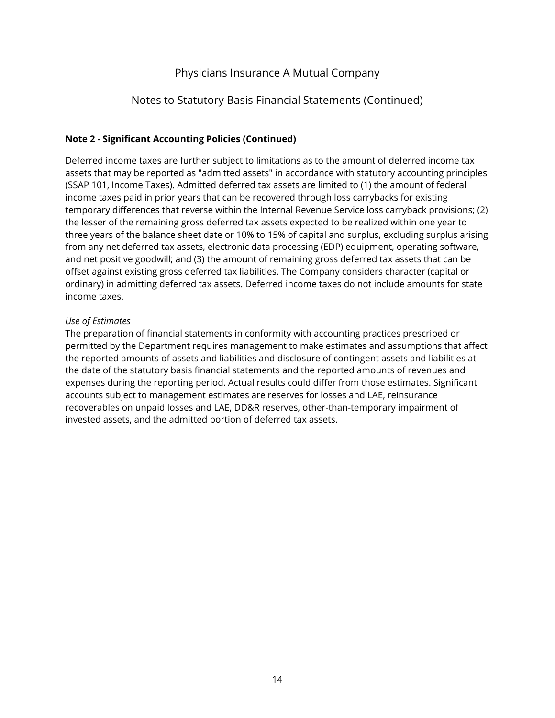## Notes to Statutory Basis Financial Statements (Continued)

#### **Note 2 - Significant Accounting Policies (Continued)**

Deferred income taxes are further subject to limitations as to the amount of deferred income tax assets that may be reported as "admitted assets" in accordance with statutory accounting principles (SSAP 101, Income Taxes). Admitted deferred tax assets are limited to (1) the amount of federal income taxes paid in prior years that can be recovered through loss carrybacks for existing temporary differences that reverse within the Internal Revenue Service loss carryback provisions; (2) the lesser of the remaining gross deferred tax assets expected to be realized within one year to three years of the balance sheet date or 10% to 15% of capital and surplus, excluding surplus arising from any net deferred tax assets, electronic data processing (EDP) equipment, operating software, and net positive goodwill; and (3) the amount of remaining gross deferred tax assets that can be offset against existing gross deferred tax liabilities. The Company considers character (capital or ordinary) in admitting deferred tax assets. Deferred income taxes do not include amounts for state income taxes.

#### *Use of Estimates*

The preparation of financial statements in conformity with accounting practices prescribed or permitted by the Department requires management to make estimates and assumptions that affect the reported amounts of assets and liabilities and disclosure of contingent assets and liabilities at the date of the statutory basis financial statements and the reported amounts of revenues and expenses during the reporting period. Actual results could differ from those estimates. Significant accounts subject to management estimates are reserves for losses and LAE, reinsurance recoverables on unpaid losses and LAE, DD&R reserves, other-than-temporary impairment of invested assets, and the admitted portion of deferred tax assets.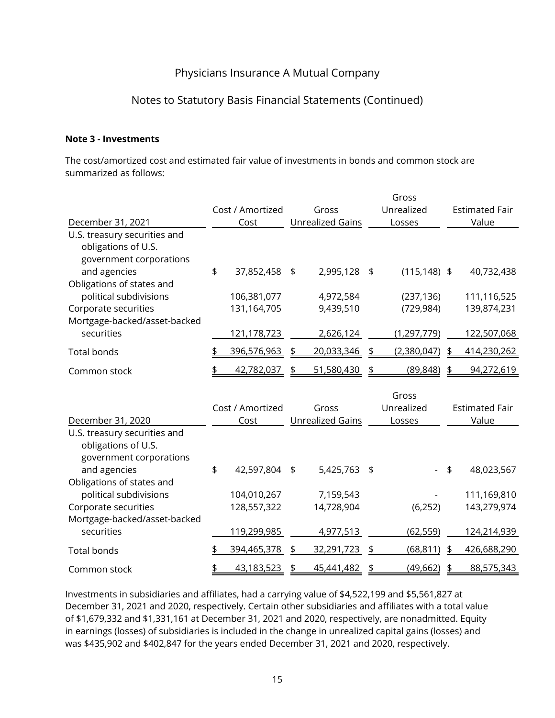## Notes to Statutory Basis Financial Statements (Continued)

#### **Note 3 - Investments**

The cost/amortized cost and estimated fair value of investments in bonds and common stock are summarized as follows:

|                                                                                |                  |                          |                         |                                  |    | Gross                         |                       |                                |  |
|--------------------------------------------------------------------------------|------------------|--------------------------|-------------------------|----------------------------------|----|-------------------------------|-----------------------|--------------------------------|--|
|                                                                                | Cost / Amortized |                          |                         | Gross                            |    | Unrealized                    | <b>Estimated Fair</b> |                                |  |
| December 31, 2021                                                              |                  | Cost                     | <b>Unrealized Gains</b> |                                  |    | Losses                        | Value                 |                                |  |
| U.S. treasury securities and<br>obligations of U.S.<br>government corporations |                  |                          |                         |                                  |    |                               |                       |                                |  |
| and agencies                                                                   | \$               | 37,852,458               | \$                      | 2,995,128                        | \$ | $(115, 148)$ \$               |                       | 40,732,438                     |  |
| Obligations of states and                                                      |                  |                          |                         |                                  |    |                               |                       |                                |  |
| political subdivisions                                                         |                  | 106,381,077              |                         | 4,972,584                        |    | (237, 136)                    |                       | 111,116,525                    |  |
| Corporate securities                                                           |                  | 131,164,705              |                         | 9,439,510                        |    | (729, 984)                    |                       | 139,874,231                    |  |
| Mortgage-backed/asset-backed                                                   |                  |                          |                         |                                  |    |                               |                       |                                |  |
| securities                                                                     |                  | 121,178,723              |                         | 2,626,124                        |    | (1, 297, 779)                 |                       | 122,507,068                    |  |
| <b>Total bonds</b>                                                             |                  | <u>396,576,963</u>       |                         | 20,033,346                       |    | (2,380,047)                   |                       | 414,230,262                    |  |
| Common stock                                                                   |                  | 42,782,037               | \$                      | 51,580,430                       | \$ | (89, 848)                     | \$                    | 94,272,619                     |  |
| December 31, 2020                                                              |                  | Cost / Amortized<br>Cost |                         | Gross<br><b>Unrealized Gains</b> |    | Gross<br>Unrealized<br>Losses |                       | <b>Estimated Fair</b><br>Value |  |
| U.S. treasury securities and<br>obligations of U.S.<br>government corporations |                  |                          |                         |                                  |    |                               |                       |                                |  |
| and agencies<br>Obligations of states and                                      | \$               | 42,597,804               | $\frac{1}{2}$           | 5,425,763                        | \$ |                               | \$                    | 48,023,567                     |  |
| political subdivisions                                                         |                  | 104,010,267              |                         | 7,159,543                        |    |                               |                       | 111,169,810                    |  |
| Corporate securities                                                           |                  | 128,557,322              |                         | 14,728,904                       |    | (6, 252)                      |                       | 143,279,974                    |  |
| Mortgage-backed/asset-backed<br>securities                                     |                  | 119,299,985              |                         | 4,977,513                        |    | (62, 559)                     |                       | 124,214,939                    |  |
| <b>Total bonds</b>                                                             |                  | 394,465,378              | \$                      | 32,291,723                       | \$ | (68, 811)                     | S                     | 426,688,290                    |  |
| Common stock                                                                   | \$               | 43,183,523               | \$                      | 45,441,482                       | \$ | (49, 662)                     | \$                    | 88,575,343                     |  |

Investments in subsidiaries and affiliates, had a carrying value of \$4,522,199 and \$5,561,827 at December 31, 2021 and 2020, respectively. Certain other subsidiaries and affiliates with a total value of \$1,679,332 and \$1,331,161 at December 31, 2021 and 2020, respectively, are nonadmitted. Equity in earnings (losses) of subsidiaries is included in the change in unrealized capital gains (losses) and was \$435,902 and \$402,847 for the years ended December 31, 2021 and 2020, respectively.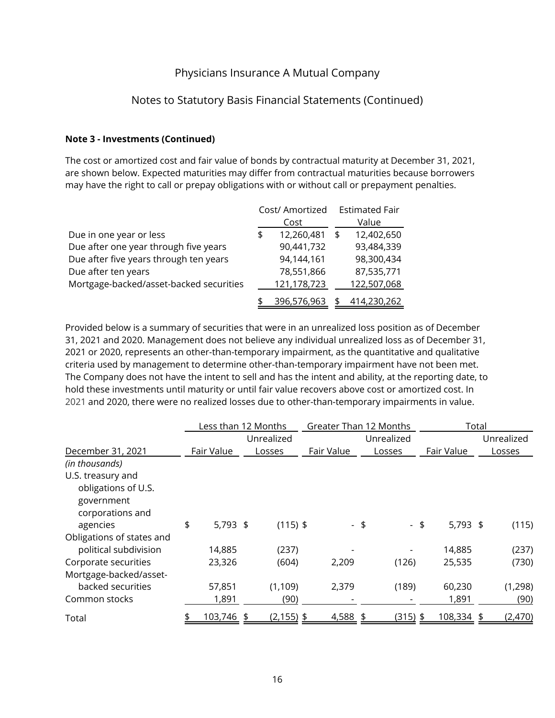### Notes to Statutory Basis Financial Statements (Continued)

#### **Note 3 - Investments (Continued)**

The cost or amortized cost and fair value of bonds by contractual maturity at December 31, 2021, are shown below. Expected maturities may differ from contractual maturities because borrowers may have the right to call or prepay obligations with or without call or prepayment penalties.

|                                         | Cost/ Amortized |             |    | <b>Estimated Fair</b> |
|-----------------------------------------|-----------------|-------------|----|-----------------------|
|                                         |                 | Cost        |    | Value                 |
| Due in one year or less                 | \$              | 12,260,481  | \$ | 12,402,650            |
| Due after one year through five years   |                 | 90,441,732  |    | 93,484,339            |
| Due after five years through ten years  |                 | 94,144,161  |    | 98,300,434            |
| Due after ten years                     |                 | 78,551,866  |    | 87,535,771            |
| Mortgage-backed/asset-backed securities |                 | 121,178,723 |    | 122,507,068           |
|                                         |                 | 396,576,963 | \$ | 414,230,262           |

Provided below is a summary of securities that were in an unrealized loss position as of December 31, 2021 and 2020. Management does not believe any individual unrealized loss as of December 31, 2021 or 2020, represents an other-than-temporary impairment, as the quantitative and qualitative criteria used by management to determine other-than-temporary impairment have not been met. The Company does not have the intent to sell and has the intent and ability, at the reporting date, to hold these investments until maturity or until fair value recovers above cost or amortized cost. In 2021 and 2020, there were no realized losses due to other-than-temporary impairments in value.

|                           | Less than 12 Months |               | <b>Greater Than 12 Months</b> |            |     |                 | Total  |            |    |            |
|---------------------------|---------------------|---------------|-------------------------------|------------|-----|-----------------|--------|------------|----|------------|
|                           |                     | Unrealized    |                               |            |     | Unrealized      |        |            |    | Unrealized |
| December 31, 2021         | Fair Value          | Losses        |                               | Fair Value |     | Losses          |        | Fair Value |    | Losses     |
| (in thousands)            |                     |               |                               |            |     |                 |        |            |    |            |
| U.S. treasury and         |                     |               |                               |            |     |                 |        |            |    |            |
| obligations of U.S.       |                     |               |                               |            |     |                 |        |            |    |            |
| government                |                     |               |                               |            |     |                 |        |            |    |            |
| corporations and          |                     |               |                               |            |     |                 |        |            |    |            |
| agencies                  | \$<br>$5,793$ \$    | $(115)$ \$    |                               | $-$ \$     |     |                 | $-$ \$ | $5,793$ \$ |    | (115)      |
| Obligations of states and |                     |               |                               |            |     |                 |        |            |    |            |
| political subdivision     | 14,885              | (237)         |                               |            |     |                 |        | 14,885     |    | (237)      |
| Corporate securities      | 23,326              | (604)         |                               | 2,209      |     | (126)           |        | 25,535     |    | (730)      |
| Mortgage-backed/asset-    |                     |               |                               |            |     |                 |        |            |    |            |
| backed securities         | 57,851              | (1, 109)      |                               | 2,379      |     | (189)           |        | 60,230     |    | (1, 298)   |
| Common stocks             | 1,891               | (90)          |                               |            |     |                 |        | 1,891      |    | (90)       |
| Total                     | 103,746             | $(2, 155)$ \$ |                               | 4,588      | -\$ | <u>(315) \$</u> |        | 108,334    | \$ | (2,470)    |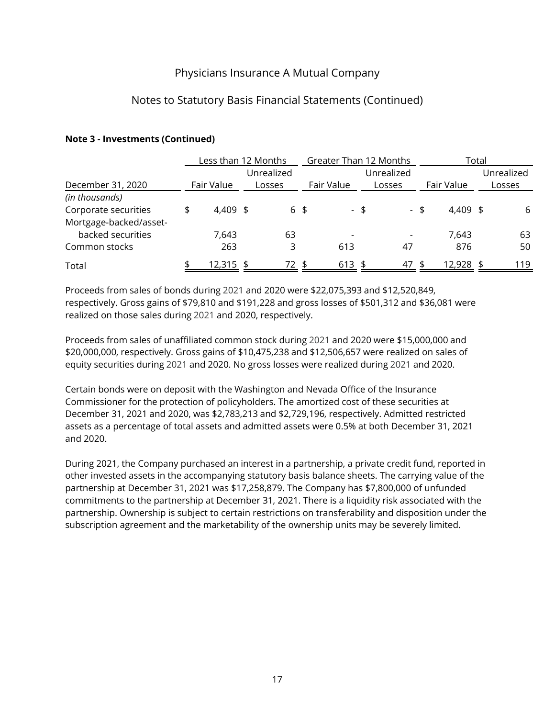## Notes to Statutory Basis Financial Statements (Continued)

|                        | Less than 12 Months |            | Greater Than 12 Months |      |            | Total      |  |            |  |
|------------------------|---------------------|------------|------------------------|------|------------|------------|--|------------|--|
|                        |                     | Unrealized |                        |      | Unrealized |            |  | Unrealized |  |
| December 31, 2020      | Fair Value          | Losses     | Fair Value             |      | Losses     | Fair Value |  | Losses     |  |
| (in thousands)         |                     |            |                        |      |            |            |  |            |  |
| Corporate securities   | 4,409 \$            | 6\$        |                        | - \$ | - \$       | 4,409 \$   |  | 6          |  |
| Mortgage-backed/asset- |                     |            |                        |      |            |            |  |            |  |
| backed securities      | 7.643               | 63         |                        |      |            | 7,643      |  | 63         |  |
| Common stocks          | 263                 | 3          | 613                    |      | 47         | 876        |  | 50         |  |
| Total                  | 12,315 \$           | 72         | 613                    |      | 47         | 12,928     |  | 119        |  |

#### **Note 3 - Investments (Continued)**

Proceeds from sales of bonds during 2021 and 2020 were \$22,075,393 and \$12,520,849, respectively. Gross gains of \$79,810 and \$191,228 and gross losses of \$501,312 and \$36,081 were realized on those sales during 2021 and 2020, respectively.

Proceeds from sales of unaffiliated common stock during 2021 and 2020 were \$15,000,000 and \$20,000,000, respectively. Gross gains of \$10,475,238 and \$12,506,657 were realized on sales of equity securities during 2021 and 2020. No gross losses were realized during 2021 and 2020.

Certain bonds were on deposit with the Washington and Nevada Office of the Insurance Commissioner for the protection of policyholders. The amortized cost of these securities at December 31, 2021 and 2020, was \$2,783,213 and \$2,729,196, respectively. Admitted restricted assets as a percentage of total assets and admitted assets were 0.5% at both December 31, 2021 and 2020.

During 2021, the Company purchased an interest in a partnership, a private credit fund, reported in other invested assets in the accompanying statutory basis balance sheets. The carrying value of the partnership at December 31, 2021 was \$17,258,879. The Company has \$7,800,000 of unfunded commitments to the partnership at December 31, 2021. There is a liquidity risk associated with the partnership. Ownership is subject to certain restrictions on transferability and disposition under the subscription agreement and the marketability of the ownership units may be severely limited.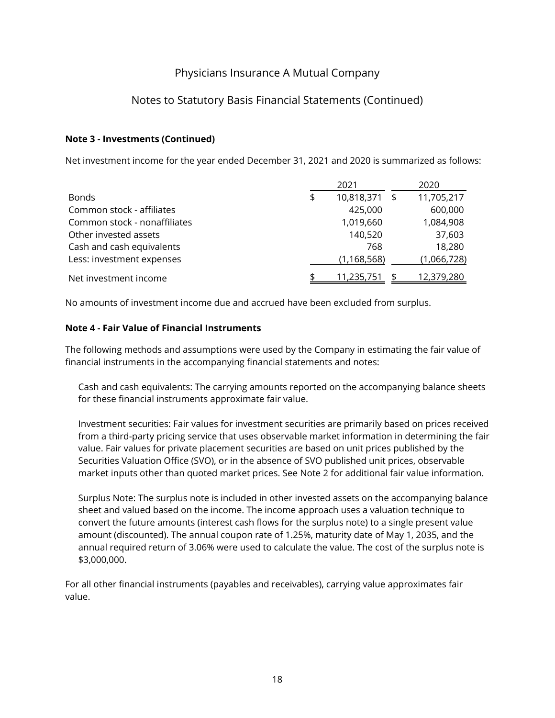## Notes to Statutory Basis Financial Statements (Continued)

#### **Note 3 - Investments (Continued)**

Net investment income for the year ended December 31, 2021 and 2020 is summarized as follows:

|                              | 2021             |      | 2020        |
|------------------------------|------------------|------|-------------|
| Bonds                        | \$<br>10,818,371 | - \$ | 11,705,217  |
| Common stock - affiliates    | 425,000          |      | 600,000     |
| Common stock - nonaffiliates | 1,019,660        |      | 1,084,908   |
| Other invested assets        | 140,520          |      | 37,603      |
| Cash and cash equivalents    | 768              |      | 18,280      |
| Less: investment expenses    | (1, 168, 568)    |      | (1,066,728) |
| Net investment income        | 11,235,751       |      | 12,379,280  |

No amounts of investment income due and accrued have been excluded from surplus.

#### **Note 4 - Fair Value of Financial Instruments**

The following methods and assumptions were used by the Company in estimating the fair value of financial instruments in the accompanying financial statements and notes:

Cash and cash equivalents: The carrying amounts reported on the accompanying balance sheets for these financial instruments approximate fair value.

Investment securities: Fair values for investment securities are primarily based on prices received from a third-party pricing service that uses observable market information in determining the fair value. Fair values for private placement securities are based on unit prices published by the Securities Valuation Office (SVO), or in the absence of SVO published unit prices, observable market inputs other than quoted market prices. See Note 2 for additional fair value information.

Surplus Note: The surplus note is included in other invested assets on the accompanying balance sheet and valued based on the income. The income approach uses a valuation technique to convert the future amounts (interest cash flows for the surplus note) to a single present value amount (discounted). The annual coupon rate of 1.25%, maturity date of May 1, 2035, and the annual required return of 3.06% were used to calculate the value. The cost of the surplus note is \$3,000,000.

For all other financial instruments (payables and receivables), carrying value approximates fair value.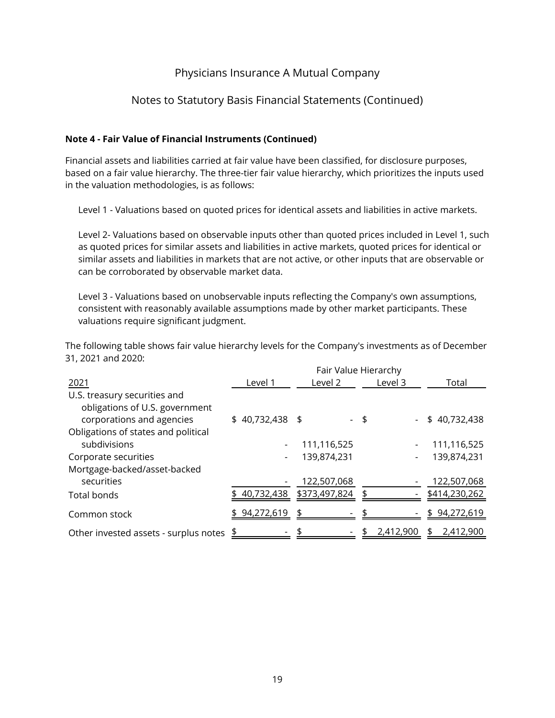## Notes to Statutory Basis Financial Statements (Continued)

#### **Note 4 - Fair Value of Financial Instruments (Continued)**

Financial assets and liabilities carried at fair value have been classified, for disclosure purposes, based on a fair value hierarchy. The three-tier fair value hierarchy, which prioritizes the inputs used in the valuation methodologies, is as follows:

Level 1 - Valuations based on quoted prices for identical assets and liabilities in active markets.

Level 2- Valuations based on observable inputs other than quoted prices included in Level 1, such as quoted prices for similar assets and liabilities in active markets, quoted prices for identical or similar assets and liabilities in markets that are not active, or other inputs that are observable or can be corroborated by observable market data.

Level 3 - Valuations based on unobservable inputs reflecting the Company's own assumptions, consistent with reasonably available assumptions made by other market participants. These valuations require significant judgment.

The following table shows fair value hierarchy levels for the Company's investments as of December 31, 2021 and 2020:

|                                                                  | Fair Value Hierarchy |               |           |                 |  |  |  |  |
|------------------------------------------------------------------|----------------------|---------------|-----------|-----------------|--|--|--|--|
| 2021                                                             | Level 1              | Level 2       | Level 3   | Total           |  |  |  |  |
| U.S. treasury securities and<br>obligations of U.S. government   |                      |               |           |                 |  |  |  |  |
| corporations and agencies<br>Obligations of states and political | $$40,732,438$ \$     |               | - \$      | \$40,732,438    |  |  |  |  |
| subdivisions                                                     |                      | 111,116,525   |           | 111,116,525     |  |  |  |  |
| Corporate securities                                             |                      | 139,874,231   |           | 139,874,231     |  |  |  |  |
| Mortgage-backed/asset-backed<br>securities                       |                      | 122,507,068   |           | 122,507,068     |  |  |  |  |
| <b>Total bonds</b>                                               | \$40,732,438         | \$373,497,824 |           | \$414,230,262   |  |  |  |  |
| Common stock                                                     | \$94,272,619         | \$            |           | \$94,272,619    |  |  |  |  |
| Other invested assets - surplus notes                            |                      |               | 2,412,900 | 2,412,900<br>\$ |  |  |  |  |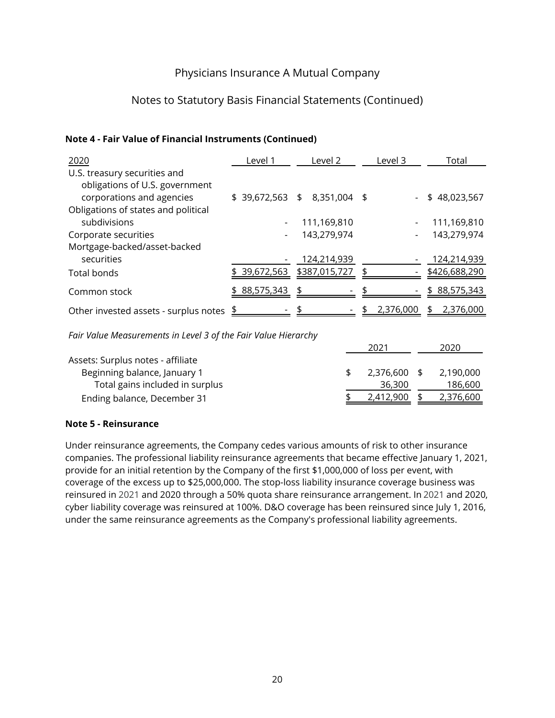## Notes to Statutory Basis Financial Statements (Continued)

#### **Note 4 - Fair Value of Financial Instruments (Continued)**

| 2020                                                             | Level 1          | Level 2       | Level 3   | Total           |
|------------------------------------------------------------------|------------------|---------------|-----------|-----------------|
| U.S. treasury securities and<br>obligations of U.S. government   |                  |               |           |                 |
| corporations and agencies<br>Obligations of states and political | $$39,672,563$ \$ | 8,351,004 \$  |           | \$48,023,567    |
| subdivisions                                                     |                  | 111,169,810   |           | 111,169,810     |
| Corporate securities                                             |                  | 143,279,974   |           | 143,279,974     |
| Mortgage-backed/asset-backed                                     |                  |               |           |                 |
| securities                                                       |                  | 124,214,939   |           | 124,214,939     |
| Total bonds                                                      | \$39,672,563     | \$387,015,727 |           | \$426,688,290   |
| Common stock                                                     | 88,575,343       | \$            |           | \$88,575,343    |
| Other invested assets - surplus notes                            |                  |               | 2,376,000 | 2,376,000<br>\$ |

*Fair Value Measurements in Level 3 of the Fair Value Hierarchy*

|                                   |              | 2020      |
|-----------------------------------|--------------|-----------|
| Assets: Surplus notes - affiliate |              |           |
| Beginning balance, January 1      | 2.376.600 \$ | 2,190,000 |
| Total gains included in surplus   | 36,300       | 186,600   |
| Ending balance, December 31       | 2,412,900    | 2,376,600 |

#### **Note 5 - Reinsurance**

Under reinsurance agreements, the Company cedes various amounts of risk to other insurance companies. The professional liability reinsurance agreements that became effective January 1, 2021, provide for an initial retention by the Company of the first \$1,000,000 of loss per event, with coverage of the excess up to \$25,000,000. The stop-loss liability insurance coverage business was reinsured in 2021 and 2020 through a 50% quota share reinsurance arrangement. In 2021 and 2020, cyber liability coverage was reinsured at 100%. D&O coverage has been reinsured since July 1, 2016, under the same reinsurance agreements as the Company's professional liability agreements.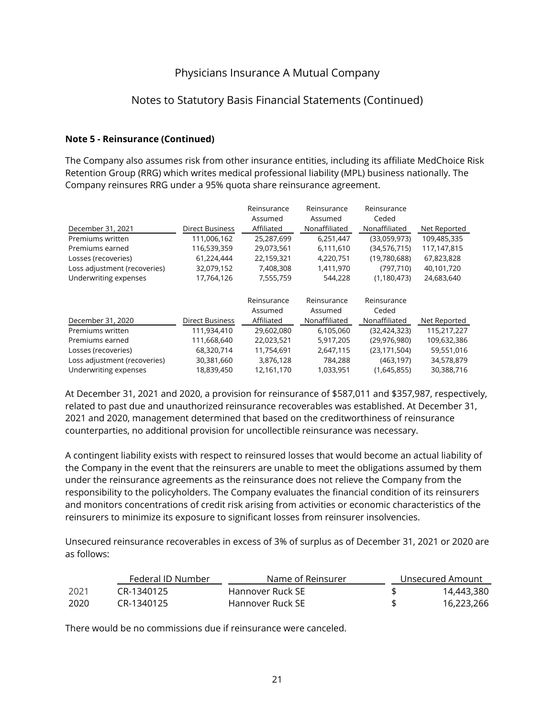## Notes to Statutory Basis Financial Statements (Continued)

#### **Note 5 - Reinsurance (Continued)**

The Company also assumes risk from other insurance entities, including its affiliate MedChoice Risk Retention Group (RRG) which writes medical professional liability (MPL) business nationally. The Company reinsures RRG under a 95% quota share reinsurance agreement.

|                              |                        | Reinsurance | Reinsurance   | Reinsurance    |              |
|------------------------------|------------------------|-------------|---------------|----------------|--------------|
|                              |                        | Assumed     | Assumed       | Ceded          |              |
| December 31, 2021            | <b>Direct Business</b> | Affiliated  | Nonaffiliated | Nonaffiliated  | Net Reported |
| Premiums written             | 111,006,162            | 25,287,699  | 6,251,447     | (33,059,973)   | 109,485,335  |
| Premiums earned              | 116,539,359            | 29,073,561  | 6,111,610     | (34, 576, 715) | 117,147,815  |
| Losses (recoveries)          | 61,224,444             | 22,159,321  | 4,220,751     | (19,780,688)   | 67,823,828   |
| Loss adjustment (recoveries) | 32,079,152             | 7,408,308   | 1,411,970     | (797, 710)     | 40,101,720   |
| Underwriting expenses        | 17,764,126             | 7,555,759   | 544,228       | (1, 180, 473)  | 24,683,640   |
|                              |                        |             |               |                |              |
|                              |                        | Reinsurance | Reinsurance   | Reinsurance    |              |
|                              |                        | Assumed     | Assumed       | Ceded          |              |
| December 31, 2020            | <b>Direct Business</b> | Affiliated  | Nonaffiliated | Nonaffiliated  | Net Reported |
| Premiums written             | 111,934,410            | 29,602,080  | 6,105,060     | (32, 424, 323) | 115,217,227  |
| Premiums earned              | 111,668,640            | 22,023,521  | 5,917,205     | (29, 976, 980) | 109,632,386  |
| Losses (recoveries)          | 68,320,714             | 11,754,691  | 2,647,115     | (23, 171, 504) | 59,551,016   |
| Loss adjustment (recoveries) | 30,381,660             | 3,876,128   | 784,288       | (463, 197)     | 34,578,879   |
| Underwriting expenses        | 18,839,450             | 12,161,170  | 1,033,951     | (1,645,855)    | 30,388,716   |

At December 31, 2021 and 2020, a provision for reinsurance of \$587,011 and \$357,987, respectively, related to past due and unauthorized reinsurance recoverables was established. At December 31, 2021 and 2020, management determined that based on the creditworthiness of reinsurance counterparties, no additional provision for uncollectible reinsurance was necessary.

A contingent liability exists with respect to reinsured losses that would become an actual liability of the Company in the event that the reinsurers are unable to meet the obligations assumed by them under the reinsurance agreements as the reinsurance does not relieve the Company from the responsibility to the policyholders. The Company evaluates the financial condition of its reinsurers and monitors concentrations of credit risk arising from activities or economic characteristics of the reinsurers to minimize its exposure to significant losses from reinsurer insolvencies.

Unsecured reinsurance recoverables in excess of 3% of surplus as of December 31, 2021 or 2020 are as follows:

|      | Federal ID Number | Name of Reinsurer  | Unsecured Amount |
|------|-------------------|--------------------|------------------|
| 2021 | CR-1340125        | - Hannover Ruck SE | 14,443,380       |
| 2020 | CR-1340125        | Hannover Ruck SE   | 16,223,266       |

There would be no commissions due if reinsurance were canceled.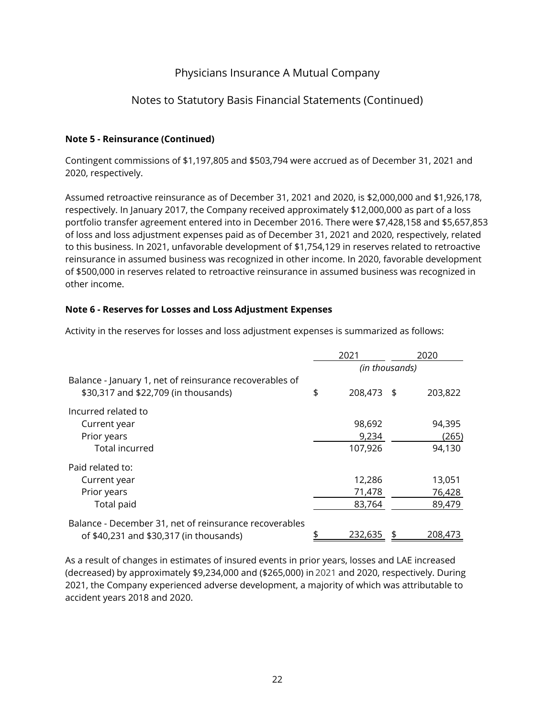## Notes to Statutory Basis Financial Statements (Continued)

#### **Note 5 - Reinsurance (Continued)**

Contingent commissions of \$1,197,805 and \$503,794 were accrued as of December 31, 2021 and 2020, respectively.

Assumed retroactive reinsurance as of December 31, 2021 and 2020, is \$2,000,000 and \$1,926,178, respectively. In January 2017, the Company received approximately \$12,000,000 as part of a loss portfolio transfer agreement entered into in December 2016. There were \$7,428,158 and \$5,657,853 of loss and loss adjustment expenses paid as of December 31, 2021 and 2020, respectively, related to this business. In 2021, unfavorable development of \$1,754,129 in reserves related to retroactive reinsurance in assumed business was recognized in other income. In 2020, favorable development of \$500,000 in reserves related to retroactive reinsurance in assumed business was recognized in other income.

#### **Note 6 - Reserves for Losses and Loss Adjustment Expenses**

|                                                                                                 | 2021 |                |  | 2020    |  |  |
|-------------------------------------------------------------------------------------------------|------|----------------|--|---------|--|--|
|                                                                                                 |      | (in thousands) |  |         |  |  |
| Balance - January 1, net of reinsurance recoverables of<br>\$30,317 and \$22,709 (in thousands) | \$   | 208,473 \$     |  | 203,822 |  |  |
| Incurred related to                                                                             |      |                |  |         |  |  |
| Current year                                                                                    |      | 98,692         |  | 94,395  |  |  |
| Prior years                                                                                     |      | 9,234          |  | (265)   |  |  |
| <b>Total incurred</b>                                                                           |      | 107,926        |  | 94,130  |  |  |
| Paid related to:                                                                                |      |                |  |         |  |  |
| Current year                                                                                    |      | 12,286         |  | 13,051  |  |  |
| Prior years                                                                                     |      | 71,478         |  | 76,428  |  |  |
| Total paid                                                                                      |      | 83,764         |  | 89,479  |  |  |
| Balance - December 31, net of reinsurance recoverables                                          |      |                |  |         |  |  |
| of \$40,231 and \$30,317 (in thousands)                                                         |      | 232,635        |  | 208,473 |  |  |

Activity in the reserves for losses and loss adjustment expenses is summarized as follows:

As a result of changes in estimates of insured events in prior years, losses and LAE increased (decreased) by approximately \$9,234,000 and (\$265,000) in 2021 and 2020, respectively. During 2021, the Company experienced adverse development, a majority of which was attributable to accident years 2018 and 2020.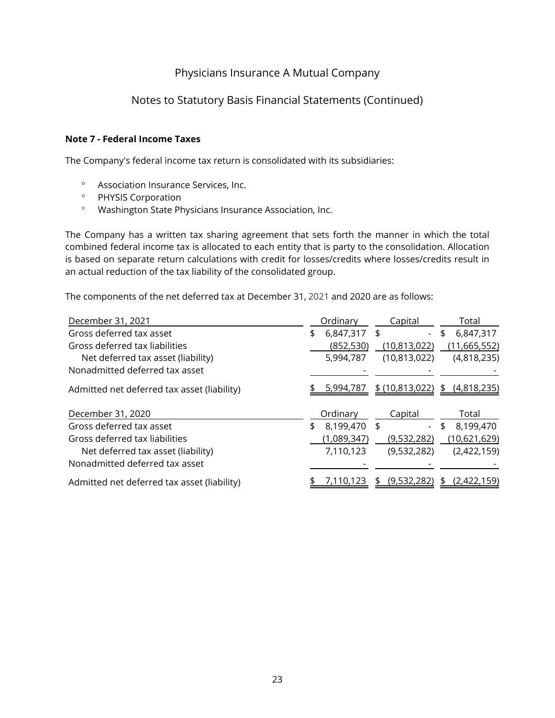## Notes to Statutory Basis Financial Statements (Continued)

#### **Note 7 - Federal Income Taxes**

The Company's federal income tax return is consolidated with its subsidiaries:

- Association Insurance Services, Inc.
- <sup>o</sup> PHYSIS Corporation
- Washington State Physicians Insurance Association, Inc.

The Company has a written tax sharing agreement that sets forth the manner in which the total combined federal income tax is allocated to each entity that is party to the consolidation. Allocation is based on separate return calculations with credit for losses/credits where losses/credits result in an actual reduction of the tax liability of the consolidated group.

The components of the net deferred tax at December 31, 2021 and 2020 are as follows:

| December 31, 2021                           | Ordinary        | Capital                        | Total           |
|---------------------------------------------|-----------------|--------------------------------|-----------------|
| Gross deferred tax asset                    | 6,847,317<br>\$ | \$<br>÷.                       | 6,847,317<br>\$ |
| Gross deferred tax liabilities              | (852, 530)      | (10, 813, 022)                 | (11,665,552)    |
| Net deferred tax asset (liability)          | 5,994,787       | (10, 813, 022)                 | (4,818,235)     |
| Nonadmitted deferred tax asset              |                 |                                |                 |
| Admitted net deferred tax asset (liability) | 5,994,787       | \$ (10,813,022)                | \$ (4,818,235)  |
|                                             |                 |                                |                 |
| December 31, 2020                           | Ordinary        | Capital                        | Total           |
| Gross deferred tax asset                    | 8,199,470<br>\$ | \$<br>$\overline{\phantom{0}}$ | 8,199,470<br>\$ |
| Gross deferred tax liabilities              | (1,089,347)     | (9,532,282)                    | (10,621,629)    |
| Net deferred tax asset (liability)          | 7,110,123       | (9,532,282)                    | (2,422,159)     |
| Nonadmitted deferred tax asset              |                 |                                |                 |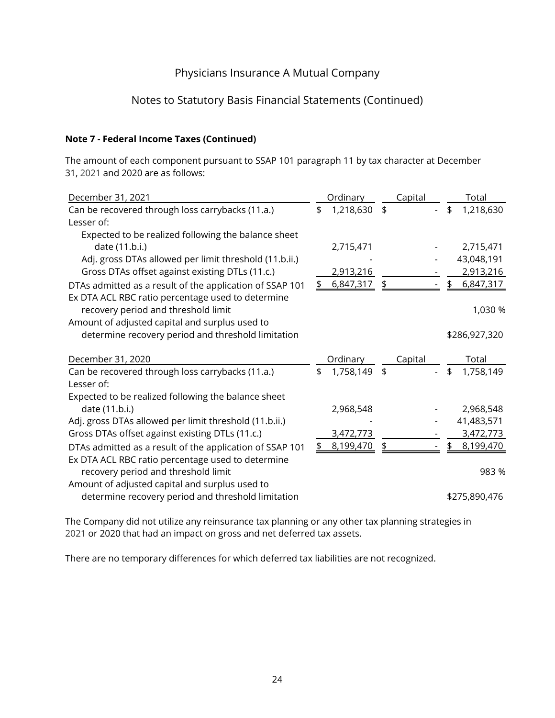### Notes to Statutory Basis Financial Statements (Continued)

#### **Note 7 - Federal Income Taxes (Continued)**

The amount of each component pursuant to SSAP 101 paragraph 11 by tax character at December 31, 2021 and 2020 are as follows:

| December 31, 2021                                        | Ordinary        |               | Capital |    | Total         |
|----------------------------------------------------------|-----------------|---------------|---------|----|---------------|
| Can be recovered through loss carrybacks (11.a.)         | \$<br>1,218,630 | $\frac{1}{2}$ |         | \$ | 1,218,630     |
| Lesser of:                                               |                 |               |         |    |               |
| Expected to be realized following the balance sheet      |                 |               |         |    |               |
| date (11.b.i.)                                           | 2,715,471       |               |         |    | 2,715,471     |
| Adj. gross DTAs allowed per limit threshold (11.b.ii.)   |                 |               |         |    | 43,048,191    |
| Gross DTAs offset against existing DTLs (11.c.)          | 2,913,216       |               |         |    | 2,913,216     |
| DTAs admitted as a result of the application of SSAP 101 | 6,847,317       | \$            |         | \$ | 6,847,317     |
| Ex DTA ACL RBC ratio percentage used to determine        |                 |               |         |    |               |
| recovery period and threshold limit                      |                 |               |         |    | 1,030 %       |
| Amount of adjusted capital and surplus used to           |                 |               |         |    |               |
| determine recovery period and threshold limitation       |                 |               |         |    | \$286,927,320 |
|                                                          |                 |               |         |    |               |
| December 31, 2020                                        | Ordinary        |               | Capital |    | Total         |
| Can be recovered through loss carrybacks (11.a.)         | \$<br>1,758,149 | \$            |         | \$ | 1,758,149     |
| Lesser of:                                               |                 |               |         |    |               |
| Expected to be realized following the balance sheet      |                 |               |         |    |               |
| date (11.b.i.)                                           | 2,968,548       |               |         |    | 2,968,548     |
| Adj. gross DTAs allowed per limit threshold (11.b.ii.)   |                 |               |         |    | 41,483,571    |
| Gross DTAs offset against existing DTLs (11.c.)          | 3,472,773       |               |         |    | 3,472,773     |
| DTAs admitted as a result of the application of SSAP 101 | 8,199,470       | \$            |         | \$ | 8,199,470     |
| Ex DTA ACL RBC ratio percentage used to determine        |                 |               |         |    |               |
| recovery period and threshold limit                      |                 |               |         |    | 983 %         |
| Amount of adjusted capital and surplus used to           |                 |               |         |    |               |
| determine recovery period and threshold limitation       |                 |               |         |    | \$275,890,476 |
|                                                          |                 |               |         |    |               |

The Company did not utilize any reinsurance tax planning or any other tax planning strategies in 2021 or 2020 that had an impact on gross and net deferred tax assets.

There are no temporary differences for which deferred tax liabilities are not recognized.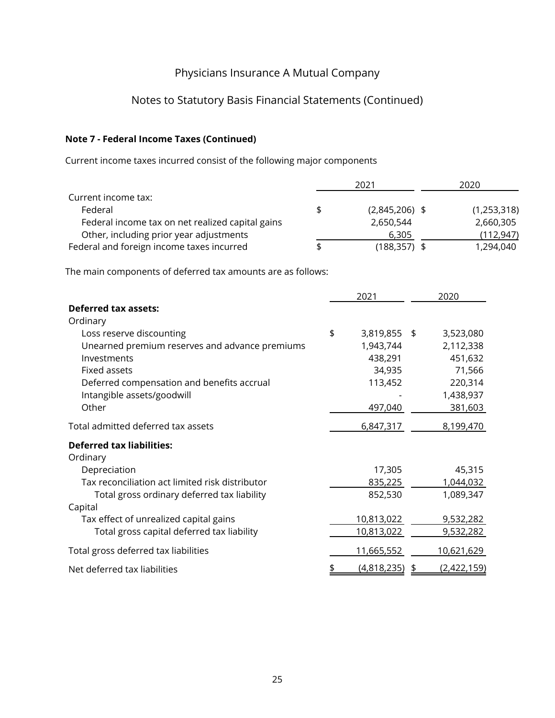## Notes to Statutory Basis Financial Statements (Continued)

## **Note 7 - Federal Income Taxes (Continued)**

Current income taxes incurred consist of the following major components

|                                                             | 2021 |                  | 2020          |            |  |
|-------------------------------------------------------------|------|------------------|---------------|------------|--|
| Current income tax:<br>Federal                              | \$   | $(2,845,206)$ \$ | (1, 253, 318) |            |  |
| Federal income tax on net realized capital gains            |      | 2,650,544        | 2,660,305     |            |  |
| Other, including prior year adjustments                     |      | 6,305            |               | (112, 947) |  |
| Federal and foreign income taxes incurred                   | \$   | $(188, 357)$ \$  | 1,294,040     |            |  |
|                                                             |      |                  |               |            |  |
| The main components of deferred tax amounts are as follows: |      |                  |               |            |  |
|                                                             |      | 2021             | 2020          |            |  |
| <b>Deferred tax assets:</b>                                 |      |                  |               |            |  |
| Ordinary                                                    |      |                  |               |            |  |
| Loss reserve discounting                                    | \$   | 3,819,855 \$     | 3,523,080     |            |  |
| Unearned premium reserves and advance premiums              |      | 1,943,744        | 2,112,338     |            |  |
| Investments                                                 |      | 438,291          | 451,632       |            |  |
| <b>Fixed assets</b>                                         |      | 34,935           | 71,566        |            |  |
| Deferred compensation and benefits accrual                  |      | 113,452          | 220,314       |            |  |
| Intangible assets/goodwill                                  |      |                  | 1,438,937     |            |  |
| Other                                                       |      | 497,040          | 381,603       |            |  |
| Total admitted deferred tax assets                          |      | 6,847,317        | 8,199,470     |            |  |
| <b>Deferred tax liabilities:</b>                            |      |                  |               |            |  |
| Ordinary                                                    |      |                  |               |            |  |
| Depreciation                                                |      | 17,305           | 45,315        |            |  |
| Tax reconciliation act limited risk distributor             |      | 835,225          | 1,044,032     |            |  |
| Total gross ordinary deferred tax liability                 |      | 852,530          | 1,089,347     |            |  |
| Capital                                                     |      |                  |               |            |  |
| Tax effect of unrealized capital gains                      |      | 10,813,022       | 9,532,282     |            |  |
| Total gross capital deferred tax liability                  |      | 10,813,022       | 9,532,282     |            |  |
| Total gross deferred tax liabilities                        |      | 11,665,552       | 10,621,629    |            |  |
| Net deferred tax liabilities                                | \$   | $(4,818,235)$ \$ | (2,422,159)   |            |  |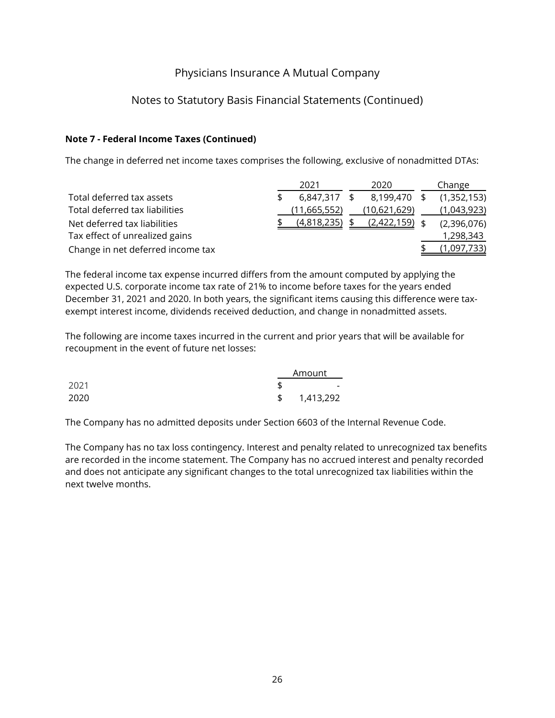## Notes to Statutory Basis Financial Statements (Continued)

#### **Note 7 - Federal Income Taxes (Continued)**

The change in deferred net income taxes comprises the following, exclusive of nonadmitted DTAs:

|                                   | 2021         | 2020                      | Change      |
|-----------------------------------|--------------|---------------------------|-------------|
| Total deferred tax assets         | 6.847.317 \$ | 8,199,470 \$              | (1,352,153) |
| Total deferred tax liabilities    | (11,665,552) | (10,621,629)              | (1,043,923) |
| Net deferred tax liabilities      | (4,818,235)  | $\frac{1}{2}$ (2,422,159) | (2,396,076) |
| Tax effect of unrealized gains    |              |                           | 1,298,343   |
| Change in net deferred income tax |              |                           | (1,097,733) |

The federal income tax expense incurred differs from the amount computed by applying the expected U.S. corporate income tax rate of 21% to income before taxes for the years ended December 31, 2021 and 2020. In both years, the significant items causing this difference were taxexempt interest income, dividends received deduction, and change in nonadmitted assets.

The following are income taxes incurred in the current and prior years that will be available for recoupment in the event of future net losses:

|      | Amount                   |
|------|--------------------------|
| 2021 | $\overline{\phantom{a}}$ |
| 2020 | \$ 1,413,292             |

The Company has no admitted deposits under Section 6603 of the Internal Revenue Code.

The Company has no tax loss contingency. Interest and penalty related to unrecognized tax benefits are recorded in the income statement. The Company has no accrued interest and penalty recorded and does not anticipate any significant changes to the total unrecognized tax liabilities within the next twelve months.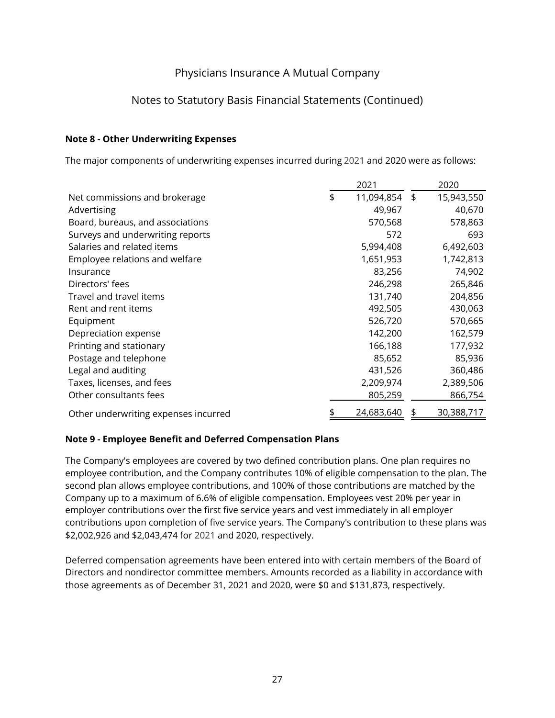## Notes to Statutory Basis Financial Statements (Continued)

#### **Note 8 - Other Underwriting Expenses**

The major components of underwriting expenses incurred during 2021 and 2020 were as follows:

|                                      | 2021             | 2020             |
|--------------------------------------|------------------|------------------|
| Net commissions and brokerage        | \$<br>11,094,854 | \$<br>15,943,550 |
| Advertising                          | 49,967           | 40,670           |
| Board, bureaus, and associations     | 570,568          | 578,863          |
| Surveys and underwriting reports     | 572              | 693              |
| Salaries and related items           | 5,994,408        | 6,492,603        |
| Employee relations and welfare       | 1,651,953        | 1,742,813        |
| Insurance                            | 83,256           | 74,902           |
| Directors' fees                      | 246,298          | 265,846          |
| Travel and travel items              | 131,740          | 204,856          |
| Rent and rent items                  | 492,505          | 430,063          |
| Equipment                            | 526,720          | 570,665          |
| Depreciation expense                 | 142,200          | 162,579          |
| Printing and stationary              | 166,188          | 177,932          |
| Postage and telephone                | 85,652           | 85,936           |
| Legal and auditing                   | 431,526          | 360,486          |
| Taxes, licenses, and fees            | 2,209,974        | 2,389,506        |
| Other consultants fees               | 805,259          | 866,754          |
| Other underwriting expenses incurred | 24,683,640       | 30,388,717       |

#### **Note 9 - Employee Benefit and Deferred Compensation Plans**

The Company's employees are covered by two defined contribution plans. One plan requires no employee contribution, and the Company contributes 10% of eligible compensation to the plan. The second plan allows employee contributions, and 100% of those contributions are matched by the Company up to a maximum of 6.6% of eligible compensation. Employees vest 20% per year in employer contributions over the first five service years and vest immediately in all employer contributions upon completion of five service years. The Company's contribution to these plans was \$2,002,926 and \$2,043,474 for 2021 and 2020, respectively.

Deferred compensation agreements have been entered into with certain members of the Board of Directors and nondirector committee members. Amounts recorded as a liability in accordance with those agreements as of December 31, 2021 and 2020, were \$0 and \$131,873, respectively.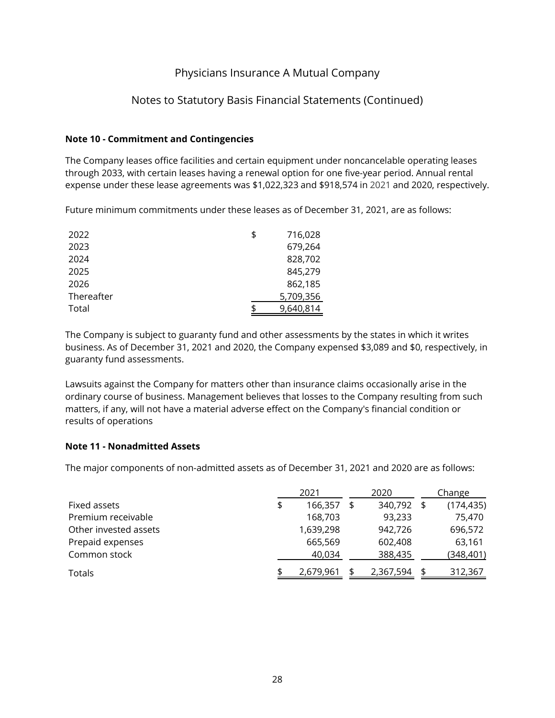## Notes to Statutory Basis Financial Statements (Continued)

#### **Note 10 - Commitment and Contingencies**

The Company leases office facilities and certain equipment under noncancelable operating leases through 2033, with certain leases having a renewal option for one five-year period. Annual rental expense under these lease agreements was \$1,022,323 and \$918,574 in 2021 and 2020, respectively.

Future minimum commitments under these leases as of December 31, 2021, are as follows:

| 2022       | \$<br>716,028 |
|------------|---------------|
| 2023       | 679,264       |
| 2024       | 828,702       |
| 2025       | 845,279       |
| 2026       | 862,185       |
| Thereafter | 5,709,356     |
| Total      | 9,640,814     |

The Company is subject to guaranty fund and other assessments by the states in which it writes business. As of December 31, 2021 and 2020, the Company expensed \$3,089 and \$0, respectively, in guaranty fund assessments.

Lawsuits against the Company for matters other than insurance claims occasionally arise in the ordinary course of business. Management believes that losses to the Company resulting from such matters, if any, will not have a material adverse effect on the Company's financial condition or results of operations

#### **Note 11 - Nonadmitted Assets**

The major components of non-admitted assets as of December 31, 2021 and 2020 are as follows:

|                       | 2021 |           | 2020 |           | Change |            |
|-----------------------|------|-----------|------|-----------|--------|------------|
| Fixed assets          | \$   | 166,357   |      | 340,792   | S      | (174, 435) |
| Premium receivable    |      | 168,703   |      | 93,233    |        | 75,470     |
| Other invested assets |      | 1,639,298 |      | 942,726   |        | 696,572    |
| Prepaid expenses      |      | 665,569   |      | 602,408   |        | 63,161     |
| Common stock          |      | 40,034    |      | 388,435   |        | (348,401)  |
| Totals                |      | 2,679,961 |      | 2,367,594 |        | 312,367    |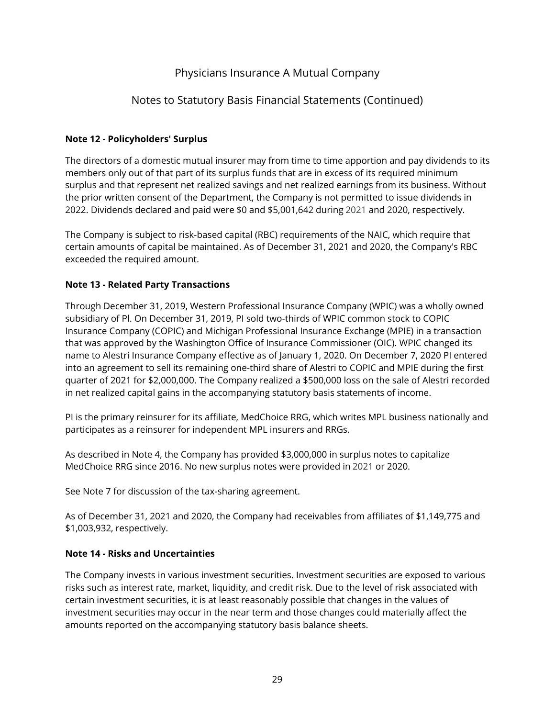## Notes to Statutory Basis Financial Statements (Continued)

#### **Note 12 - Policyholders' Surplus**

The directors of a domestic mutual insurer may from time to time apportion and pay dividends to its members only out of that part of its surplus funds that are in excess of its required minimum surplus and that represent net realized savings and net realized earnings from its business. Without the prior written consent of the Department, the Company is not permitted to issue dividends in 2022. Dividends declared and paid were \$0 and \$5,001,642 during 2021 and 2020, respectively.

The Company is subject to risk-based capital (RBC) requirements of the NAIC, which require that certain amounts of capital be maintained. As of December 31, 2021 and 2020, the Company's RBC exceeded the required amount.

#### **Note 13 - Related Party Transactions**

Through December 31, 2019, Western Professional Insurance Company (WPIC) was a wholly owned subsidiary of Pl. On December 31, 2019, PI sold two-thirds of WPIC common stock to COPIC Insurance Company (COPIC) and Michigan Professional Insurance Exchange (MPIE) in a transaction that was approved by the Washington Office of Insurance Commissioner (OIC). WPIC changed its name to Alestri Insurance Company effective as of January 1, 2020. On December 7, 2020 PI entered into an agreement to sell its remaining one-third share of Alestri to COPIC and MPIE during the first quarter of 2021 for \$2,000,000. The Company realized a \$500,000 loss on the sale of Alestri recorded in net realized capital gains in the accompanying statutory basis statements of income.

PI is the primary reinsurer for its affiliate, MedChoice RRG, which writes MPL business nationally and participates as a reinsurer for independent MPL insurers and RRGs.

As described in Note 4, the Company has provided \$3,000,000 in surplus notes to capitalize MedChoice RRG since 2016. No new surplus notes were provided in 2021 or 2020.

See Note 7 for discussion of the tax-sharing agreement.

As of December 31, 2021 and 2020, the Company had receivables from affiliates of \$1,149,775 and \$1,003,932, respectively.

#### **Note 14 - Risks and Uncertainties**

The Company invests in various investment securities. Investment securities are exposed to various risks such as interest rate, market, liquidity, and credit risk. Due to the level of risk associated with certain investment securities, it is at least reasonably possible that changes in the values of investment securities may occur in the near term and those changes could materially affect the amounts reported on the accompanying statutory basis balance sheets.